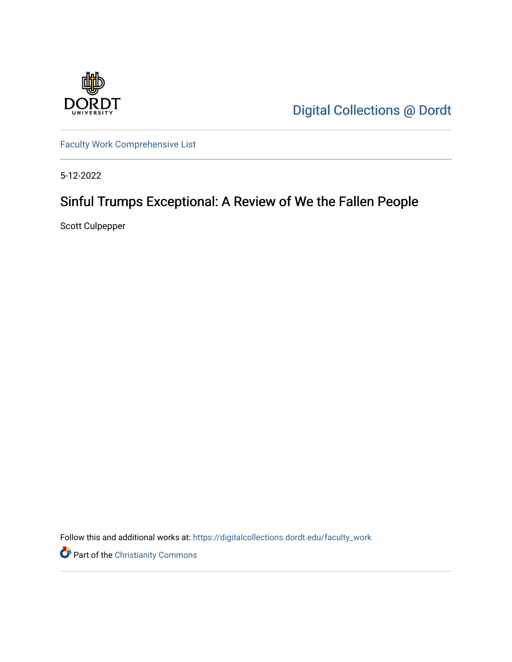

[Digital Collections @ Dordt](https://digitalcollections.dordt.edu/) 

[Faculty Work Comprehensive List](https://digitalcollections.dordt.edu/faculty_work)

5-12-2022

# Sinful Trumps Exceptional: A Review of We the Fallen People

Scott Culpepper

Follow this and additional works at: [https://digitalcollections.dordt.edu/faculty\\_work](https://digitalcollections.dordt.edu/faculty_work?utm_source=digitalcollections.dordt.edu%2Ffaculty_work%2F1387&utm_medium=PDF&utm_campaign=PDFCoverPages) 

Part of the [Christianity Commons](https://network.bepress.com/hgg/discipline/1181?utm_source=digitalcollections.dordt.edu%2Ffaculty_work%2F1387&utm_medium=PDF&utm_campaign=PDFCoverPages)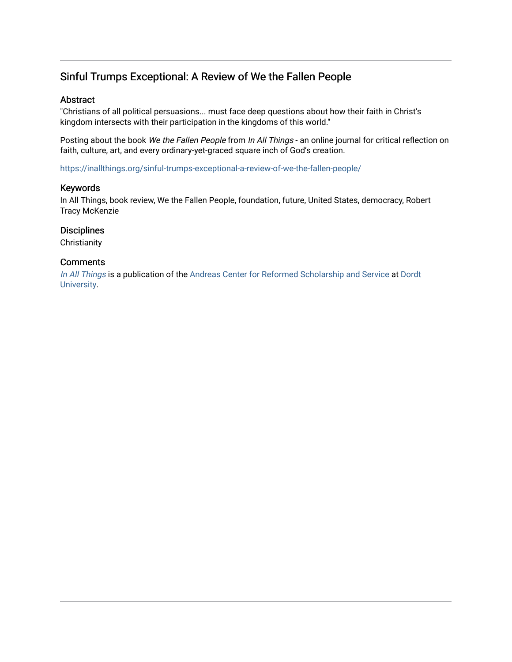## Sinful Trumps Exceptional: A Review of We the Fallen People

#### Abstract

"Christians of all political persuasions... must face deep questions about how their faith in Christ's kingdom intersects with their participation in the kingdoms of this world."

Posting about the book We the Fallen People from In All Things - an online journal for critical reflection on faith, culture, art, and every ordinary-yet-graced square inch of God's creation.

<https://inallthings.org/sinful-trumps-exceptional-a-review-of-we-the-fallen-people/>

#### Keywords

In All Things, book review, We the Fallen People, foundation, future, United States, democracy, Robert Tracy McKenzie

#### **Disciplines**

**Christianity** 

#### **Comments**

[In All Things](http://inallthings.org/) is a publication of the [Andreas Center for Reformed Scholarship and Service](http://www.dordt.edu/services_support/andreas_center/) at Dordt [University](http://www.dordt.edu/).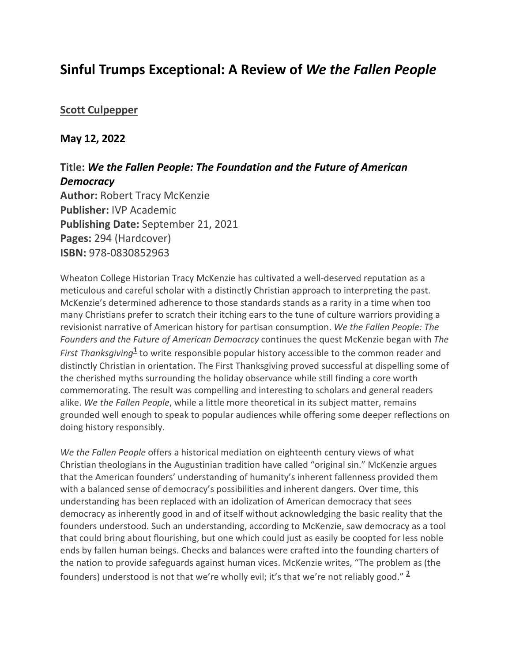# **Sinful Trumps Exceptional: A Review of** *We the Fallen People*

### **[Scott Culpepper](https://inallthings.org/author/scott-culpepper/)**

### **May 12, 2022**

## **Title:** *We the Fallen People: The Foundation and the Future of American Democracy*

**Author:** Robert Tracy McKenzie **Publisher:** IVP Academic **Publishing Date:** September 21, 2021 **Pages:** 294 (Hardcover) **ISBN:** 978-0830852963

Wheaton College Historian Tracy McKenzie has cultivated a well-deserved reputation as a meticulous and careful scholar with a distinctly Christian approach to interpreting the past. McKenzie's determined adherence to those standards stands as a rarity in a time when too many Christians prefer to scratch their itching ears to the tune of culture warriors providing a revisionist narrative of American history for partisan consumption. *We the Fallen People: The Founders and the Future of American Democracy* continues the quest McKenzie began with *The First Thanksgiving*<sup>1</sup> to write responsible popular history accessible to the common reader and distinctly Christian in orientation. The First Thanksgiving proved successful at dispelling some of the cherished myths surrounding the holiday observance while still finding a core worth commemorating. The result was compelling and interesting to scholars and general readers alike. *We the Fallen People*, while a little more theoretical in its subject matter, remains grounded well enough to speak to popular audiences while offering some deeper reflections on doing history responsibly.

*We the Fallen People* offers a historical mediation on eighteenth century views of what Christian theologians in the Augustinian tradition have called "original sin." McKenzie argues that the American founders' understanding of humanity's inherent fallenness provided them with a balanced sense of democracy's possibilities and inherent dangers. Over time, this understanding has been replaced with an idolization of American democracy that sees democracy as inherently good in and of itself without acknowledging the basic reality that the founders understood. Such an understanding, according to McKenzie, saw democracy as a tool that could bring about flourishing, but one which could just as easily be coopted for less noble ends by fallen human beings. Checks and balances were crafted into the founding charters of the nation to provide safeguards against human vices. McKenzie writes, "The problem as (the founders) understood is not that we're wholly evil; it's that we're not reliably good."  $\frac{2}{3}$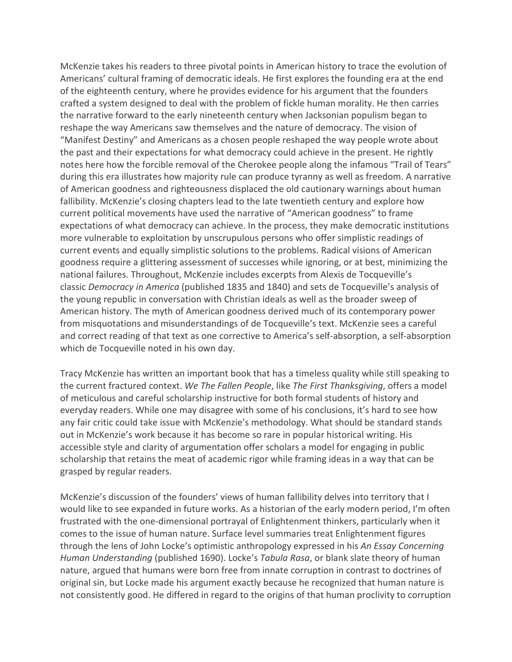McKenzie takes his readers to three pivotal points in American history to trace the evolution of Americans' cultural framing of democratic ideals. He first explores the founding era at the end of the eighteenth century, where he provides evidence for his argument that the founders crafted a system designed to deal with the problem of fickle human morality. He then carries the narrative forward to the early nineteenth century when Jacksonian populism began to reshape the way Americans saw themselves and the nature of democracy. The vision of "Manifest Destiny" and Americans as a chosen people reshaped the way people wrote about the past and their expectations for what democracy could achieve in the present. He rightly notes here how the forcible removal of the Cherokee people along the infamous "Trail of Tears" during this era illustrates how majority rule can produce tyranny as well as freedom. A narrative of American goodness and righteousness displaced the old cautionary warnings about human fallibility. McKenzie's closing chapters lead to the late twentieth century and explore how current political movements have used the narrative of "American goodness" to frame expectations of what democracy can achieve. In the process, they make democratic institutions more vulnerable to exploitation by unscrupulous persons who offer simplistic readings of current events and equally simplistic solutions to the problems. Radical visions of American goodness require a glittering assessment of successes while ignoring, or at best, minimizing the national failures. Throughout, McKenzie includes excerpts from Alexis de Tocqueville's classic *Democracy in America* (published 1835 and 1840) and sets de Tocqueville's analysis of the young republic in conversation with Christian ideals as well as the broader sweep of American history. The myth of American goodness derived much of its contemporary power from misquotations and misunderstandings of de Tocqueville's text. McKenzie sees a careful and correct reading of that text as one corrective to America's self-absorption, a self-absorption which de Tocqueville noted in his own day.

Tracy McKenzie has written an important book that has a timeless quality while still speaking to the current fractured context. *We The Fallen People*, like *The First Thanksgiving*, offers a model of meticulous and careful scholarship instructive for both formal students of history and everyday readers. While one may disagree with some of his conclusions, it's hard to see how any fair critic could take issue with McKenzie's methodology. What should be standard stands out in McKenzie's work because it has become so rare in popular historical writing. His accessible style and clarity of argumentation offer scholars a model for engaging in public scholarship that retains the meat of academic rigor while framing ideas in a way that can be grasped by regular readers.

McKenzie's discussion of the founders' views of human fallibility delves into territory that I would like to see expanded in future works. As a historian of the early modern period, I'm often frustrated with the one-dimensional portrayal of Enlightenment thinkers, particularly when it comes to the issue of human nature. Surface level summaries treat Enlightenment figures through the lens of John Locke's optimistic anthropology expressed in his *An Essay Concerning Human Understanding* (published 1690). Locke's *Tabula Rasa*, or blank slate theory of human nature, argued that humans were born free from innate corruption in contrast to doctrines of original sin, but Locke made his argument exactly because he recognized that human nature is not consistently good. He differed in regard to the origins of that human proclivity to corruption